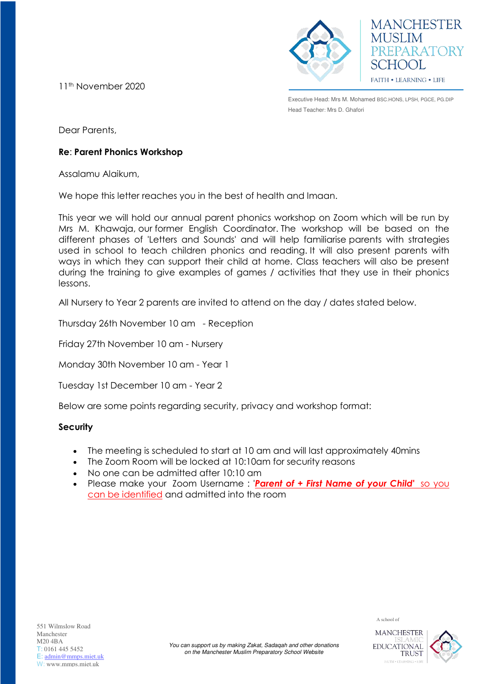11th November 2020





Executive Head: Mrs M. Mohamed BSC.HONS, LPSH, PGCE, PG.DIP Head Teacher: Mrs D. Ghafori

Dear Parents,

## **Re**: **Parent Phonics Workshop**

Assalamu Alaikum,

We hope this letter reaches you in the best of health and Imaan.

This year we will hold our annual parent phonics workshop on Zoom which will be run by Mrs M. Khawaja, our former English Coordinator. The workshop will be based on the different phases of 'Letters and Sounds' and will help familiarise parents with strategies used in school to teach children phonics and reading. It will also present parents with ways in which they can support their child at home. Class teachers will also be present during the training to give examples of games / activities that they use in their phonics lessons.

All Nursery to Year 2 parents are invited to attend on the day / dates stated below.

Thursday 26th November 10 am - Reception

Friday 27th November 10 am - Nursery

Monday 30th November 10 am - Year 1

Tuesday 1st December 10 am - Year 2

Below are some points regarding security, privacy and workshop format:

## **Security**

- The meeting is scheduled to start at 10 am and will last approximately 40mins
- The Zoom Room will be locked at 10:10am for security reasons
- No one can be admitted after 10:10 am
- Please make your Zoom Username : '*Parent of + First Name of your Child***'** so you can be identified and admitted into the room

**MANCHESTER EDUCATIONAL** 

**TRUST** 

A school of